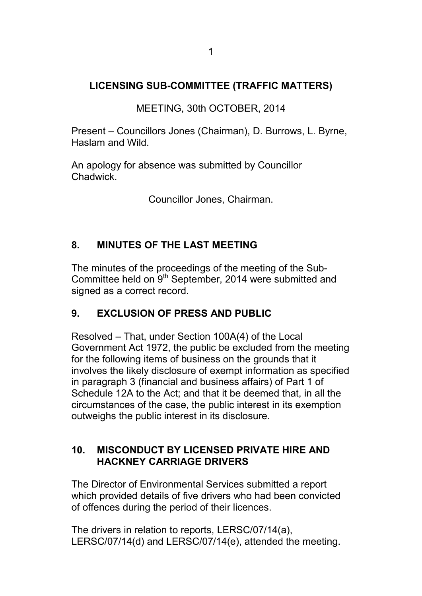## **LICENSING SUB-COMMITTEE (TRAFFIC MATTERS)**

MEETING, 30th OCTOBER, 2014

Present – Councillors Jones (Chairman), D. Burrows, L. Byrne, Haslam and Wild.

An apology for absence was submitted by Councillor **Chadwick** 

Councillor Jones, Chairman.

## **8. MINUTES OF THE LAST MEETING**

The minutes of the proceedings of the meeting of the Sub-Committee held on 9<sup>th</sup> September, 2014 were submitted and signed as a correct record.

## **9. EXCLUSION OF PRESS AND PUBLIC**

Resolved – That, under Section 100A(4) of the Local Government Act 1972, the public be excluded from the meeting for the following items of business on the grounds that it involves the likely disclosure of exempt information as specified in paragraph 3 (financial and business affairs) of Part 1 of Schedule 12A to the Act; and that it be deemed that, in all the circumstances of the case, the public interest in its exemption outweighs the public interest in its disclosure.

## **10. MISCONDUCT BY LICENSED PRIVATE HIRE AND HACKNEY CARRIAGE DRIVERS**

The Director of Environmental Services submitted a report which provided details of five drivers who had been convicted of offences during the period of their licences.

The drivers in relation to reports, LERSC/07/14(a), LERSC/07/14(d) and LERSC/07/14(e), attended the meeting.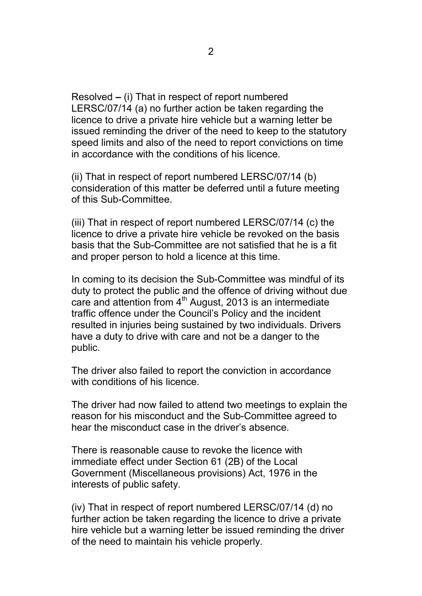Resolved **–** (i) That in respect of report numbered LERSC/07/14 (a) no further action be taken regarding the licence to drive a private hire vehicle but a warning letter be issued reminding the driver of the need to keep to the statutory speed limits and also of the need to report convictions on time in accordance with the conditions of his licence.

(ii) That in respect of report numbered LERSC/07/14 (b) consideration of this matter be deferred until a future meeting of this Sub-Committee.

(iii) That in respect of report numbered LERSC/07/14 (c) the licence to drive a private hire vehicle be revoked on the basis basis that the Sub-Committee are not satisfied that he is a fit and proper person to hold a licence at this time.

In coming to its decision the Sub-Committee was mindful of its duty to protect the public and the offence of driving without due care and attention from  $4<sup>th</sup>$  August, 2013 is an intermediate traffic offence under the Council's Policy and the incident resulted in injuries being sustained by two individuals. Drivers have a duty to drive with care and not be a danger to the public.

The driver also failed to report the conviction in accordance with conditions of his licence.

The driver had now failed to attend two meetings to explain the reason for his misconduct and the Sub-Committee agreed to hear the misconduct case in the driver's absence.

There is reasonable cause to revoke the licence with immediate effect under Section 61 (2B) of the Local Government (Miscellaneous provisions) Act, 1976 in the interests of public safety.

(iv) That in respect of report numbered LERSC/07/14 (d) no further action be taken regarding the licence to drive a private hire vehicle but a warning letter be issued reminding the driver of the need to maintain his vehicle properly.